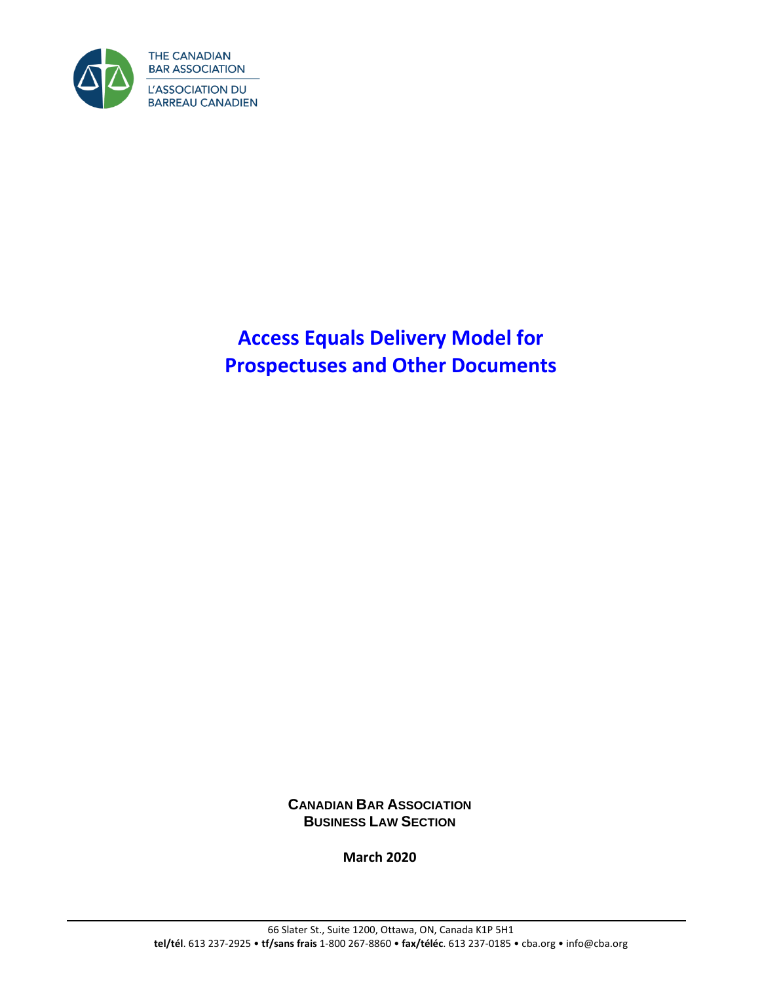

# **Access Equals Delivery Model for Prospectuses and Other Documents**

**CANADIAN BAR ASSOCIATION BUSINESS LAW SECTION**

**March 2020**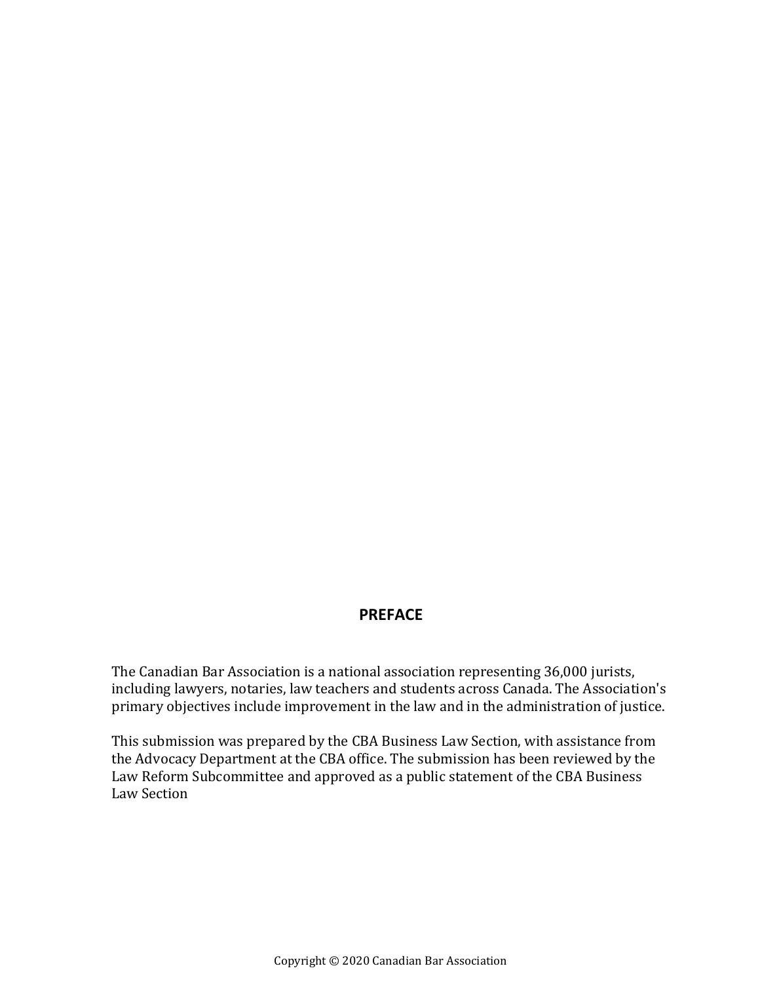# **PREFACE**

The Canadian Bar Association is a national association representing 36,000 jurists, including lawyers, notaries, law teachers and students across Canada. The Association's primary objectives include improvement in the law and in the administration of justice.

This submission was prepared by the CBA Business Law Section, with assistance from the Advocacy Department at the CBA office. The submission has been reviewed by the Law Reform Subcommittee and approved as a public statement of the CBA Business Law Section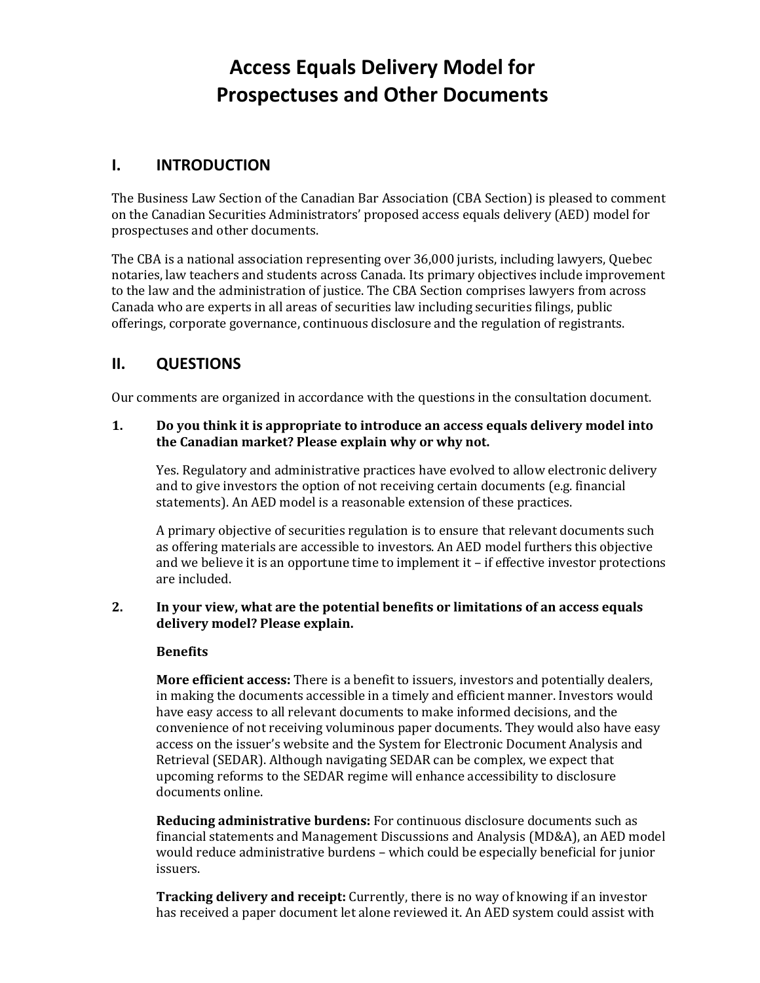# **Access Equals Delivery Model for Prospectuses and Other Documents**

# **I. INTRODUCTION**

The Business Law Section of the Canadian Bar Association (CBA Section) is pleased to comment on the Canadian Securities Administrators' proposed access equals delivery (AED) model for prospectuses and other documents.

The CBA is a national association representing over 36,000 jurists, including lawyers, Quebec notaries, law teachers and students across Canada. Its primary objectives include improvement to the law and the administration of justice. The CBA Section comprises lawyers from across Canada who are experts in all areas of securities law including securities filings, public offerings, corporate governance, continuous disclosure and the regulation of registrants.

# **II. QUESTIONS**

Our comments are organized in accordance with the questions in the consultation document.

## **1. Do you think it is appropriate to introduce an access equals delivery model into the Canadian market? Please explain why or why not.**

Yes. Regulatory and administrative practices have evolved to allow electronic delivery and to give investors the option of not receiving certain documents (e.g. financial statements). An AED model is a reasonable extension of these practices.

A primary objective of securities regulation is to ensure that relevant documents such as offering materials are accessible to investors. An AED model furthers this objective and we believe it is an opportune time to implement it – if effective investor protections are included.

#### **2. In your view, what are the potential benefits or limitations of an access equals delivery model? Please explain.**

# **Benefits**

**More efficient access:** There is a benefit to issuers, investors and potentially dealers, in making the documents accessible in a timely and efficient manner. Investors would have easy access to all relevant documents to make informed decisions, and the convenience of not receiving voluminous paper documents. They would also have easy access on the issuer's website and the System for Electronic Document Analysis and Retrieval (SEDAR). Although navigating SEDAR can be complex, we expect that upcoming reforms to the SEDAR regime will enhance accessibility to disclosure documents online.

**Reducing administrative burdens:** For continuous disclosure documents such as financial statements and Management Discussions and Analysis (MD&A), an AED model would reduce administrative burdens – which could be especially beneficial for junior issuers.

**Tracking delivery and receipt:** Currently, there is no way of knowing if an investor has received a paper document let alone reviewed it. An AED system could assist with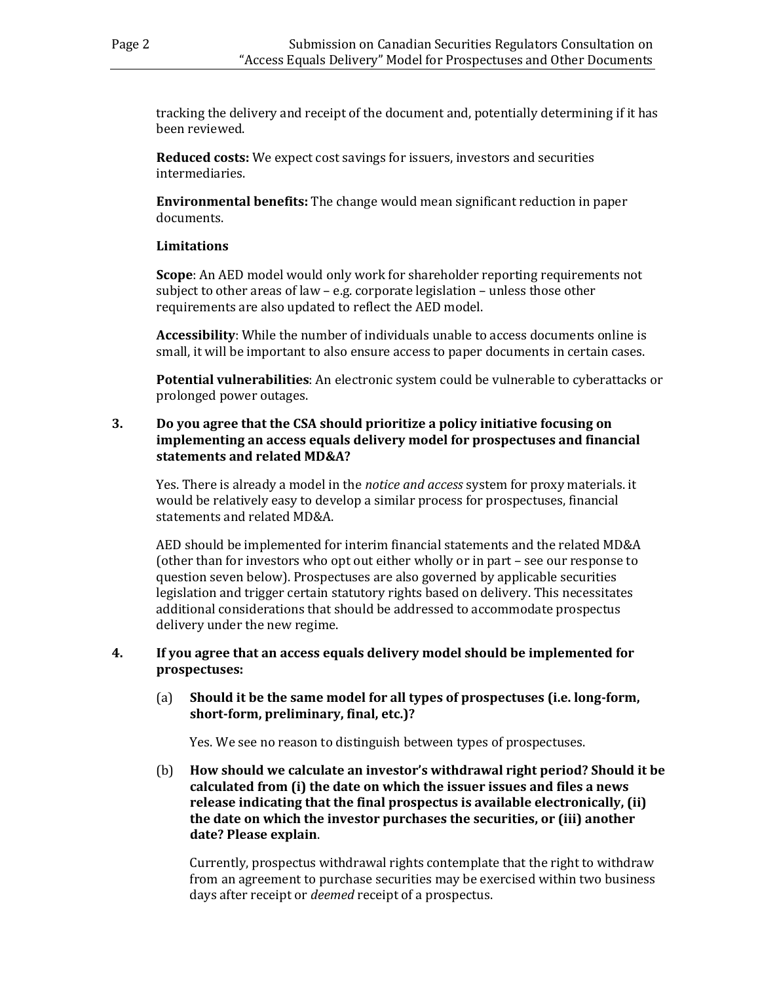tracking the delivery and receipt of the document and, potentially determining if it has been reviewed.

**Reduced costs:** We expect cost savings for issuers, investors and securities intermediaries.

**Environmental benefits:** The change would mean significant reduction in paper documents.

# **Limitations**

**Scope**: An AED model would only work for shareholder reporting requirements not subject to other areas of law – e.g. corporate legislation – unless those other requirements are also updated to reflect the AED model.

**Accessibility**: While the number of individuals unable to access documents online is small, it will be important to also ensure access to paper documents in certain cases.

**Potential vulnerabilities**: An electronic system could be vulnerable to cyberattacks or prolonged power outages.

# **3. Do you agree that the CSA should prioritize a policy initiative focusing on implementing an access equals delivery model for prospectuses and financial statements and related MD&A?**

Yes. There is already a model in the *notice and access* system for proxy materials. it would be relatively easy to develop a similar process for prospectuses, financial statements and related MD&A.

AED should be implemented for interim financial statements and the related MD&A (other than for investors who opt out either wholly or in part – see our response to question seven below). Prospectuses are also governed by applicable securities legislation and trigger certain statutory rights based on delivery. This necessitates additional considerations that should be addressed to accommodate prospectus delivery under the new regime.

#### **4. If you agree that an access equals delivery model should be implemented for prospectuses:**

(a) **Should it be the same model for all types of prospectuses (i.e. long-form, short-form, preliminary, final, etc.)?**

Yes. We see no reason to distinguish between types of prospectuses.

(b) **How should we calculate an investor's withdrawal right period? Should it be calculated from (i) the date on which the issuer issues and files a news release indicating that the final prospectus is available electronically, (ii) the date on which the investor purchases the securities, or (iii) another date? Please explain**.

Currently, prospectus withdrawal rights contemplate that the right to withdraw from an agreement to purchase securities may be exercised within two business days after receipt or *deemed* receipt of a prospectus.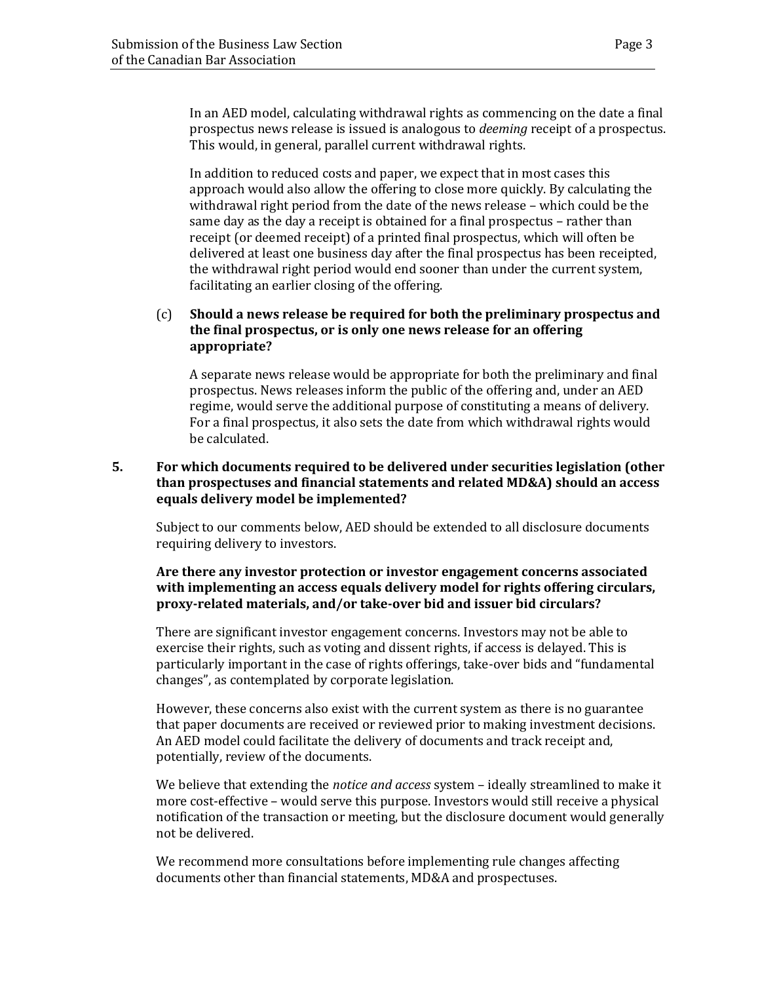In an AED model, calculating withdrawal rights as commencing on the date a final prospectus news release is issued is analogous to *deeming* receipt of a prospectus. This would, in general, parallel current withdrawal rights.

In addition to reduced costs and paper, we expect that in most cases this approach would also allow the offering to close more quickly. By calculating the withdrawal right period from the date of the news release – which could be the same day as the day a receipt is obtained for a final prospectus – rather than receipt (or deemed receipt) of a printed final prospectus, which will often be delivered at least one business day after the final prospectus has been receipted, the withdrawal right period would end sooner than under the current system, facilitating an earlier closing of the offering.

# (c) **Should a news release be required for both the preliminary prospectus and the final prospectus, or is only one news release for an offering appropriate?**

A separate news release would be appropriate for both the preliminary and final prospectus. News releases inform the public of the offering and, under an AED regime, would serve the additional purpose of constituting a means of delivery. For a final prospectus, it also sets the date from which withdrawal rights would be calculated.

# **5. For which documents required to be delivered under securities legislation (other than prospectuses and financial statements and related MD&A) should an access equals delivery model be implemented?**

Subject to our comments below, AED should be extended to all disclosure documents requiring delivery to investors.

# **Are there any investor protection or investor engagement concerns associated with implementing an access equals delivery model for rights offering circulars, proxy-related materials, and/or take-over bid and issuer bid circulars?**

There are significant investor engagement concerns. Investors may not be able to exercise their rights, such as voting and dissent rights, if access is delayed. This is particularly important in the case of rights offerings, take-over bids and "fundamental changes", as contemplated by corporate legislation.

However, these concerns also exist with the current system as there is no guarantee that paper documents are received or reviewed prior to making investment decisions. An AED model could facilitate the delivery of documents and track receipt and, potentially, review of the documents.

We believe that extending the *notice and access* system – ideally streamlined to make it more cost-effective – would serve this purpose. Investors would still receive a physical notification of the transaction or meeting, but the disclosure document would generally not be delivered.

We recommend more consultations before implementing rule changes affecting documents other than financial statements, MD&A and prospectuses.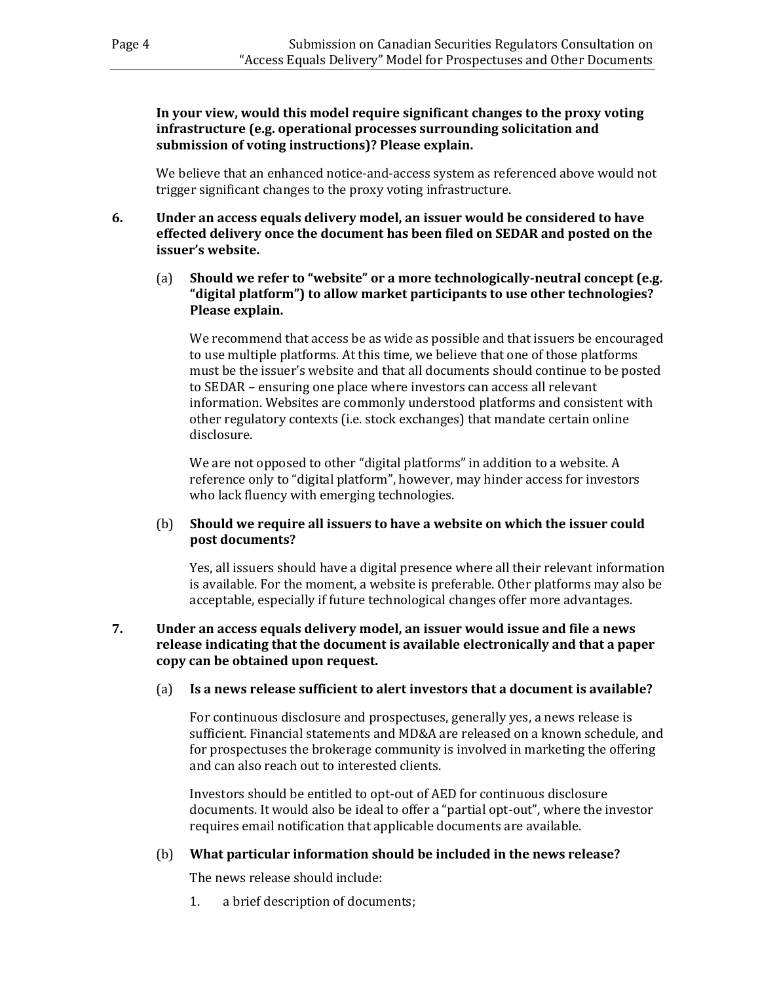**In your view, would this model require significant changes to the proxy voting infrastructure (e.g. operational processes surrounding solicitation and submission of voting instructions)? Please explain.**

We believe that an enhanced notice-and-access system as referenced above would not trigger significant changes to the proxy voting infrastructure.

- **6. Under an access equals delivery model, an issuer would be considered to have effected delivery once the document has been filed on SEDAR and posted on the issuer's website.**
	- (a) **Should we refer to "website" or a more technologically-neutral concept (e.g. "digital platform") to allow market participants to use other technologies? Please explain.**

We recommend that access be as wide as possible and that issuers be encouraged to use multiple platforms. At this time, we believe that one of those platforms must be the issuer's website and that all documents should continue to be posted to SEDAR – ensuring one place where investors can access all relevant information. Websites are commonly understood platforms and consistent with other regulatory contexts (i.e. stock exchanges) that mandate certain online disclosure.

We are not opposed to other "digital platforms" in addition to a website. A reference only to "digital platform", however, may hinder access for investors who lack fluency with emerging technologies.

# (b) **Should we require all issuers to have a website on which the issuer could post documents?**

Yes, all issuers should have a digital presence where all their relevant information is available. For the moment, a website is preferable. Other platforms may also be acceptable, especially if future technological changes offer more advantages.

# **7. Under an access equals delivery model, an issuer would issue and file a news release indicating that the document is available electronically and that a paper copy can be obtained upon request.**

# (a) **Is a news release sufficient to alert investors that a document is available?**

For continuous disclosure and prospectuses, generally yes, a news release is sufficient. Financial statements and MD&A are released on a known schedule, and for prospectuses the brokerage community is involved in marketing the offering and can also reach out to interested clients.

Investors should be entitled to opt-out of AED for continuous disclosure documents. It would also be ideal to offer a "partial opt-out", where the investor requires email notification that applicable documents are available.

# (b) **What particular information should be included in the news release?**

The news release should include:

1. a brief description of documents;